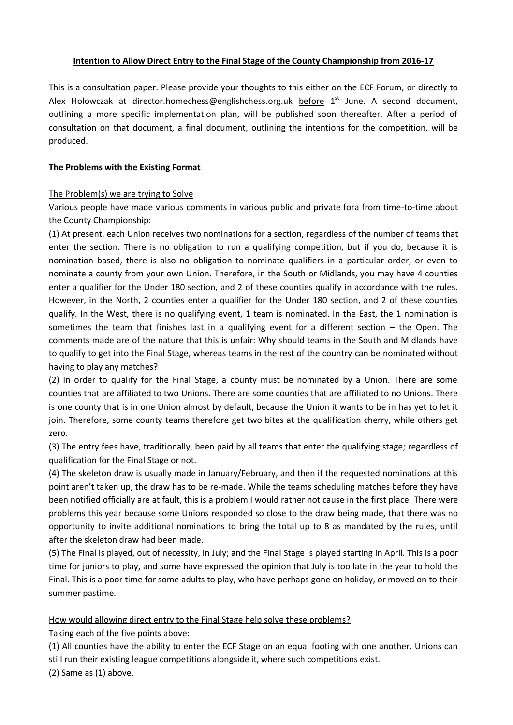## **Intention to Allow Direct Entry to the Final Stage of the County Championship from 2016-17**

This is a consultation paper. Please provide your thoughts to this either on the ECF Forum, or directly to Alex Holowczak at director.homechess@englishchess.org.uk before 1<sup>st</sup> June. A second document, outlining a more specific implementation plan, will be published soon thereafter. After a period of consultation on that document, a final document, outlining the intentions for the competition, will be produced.

## **The Problems with the Existing Format**

## The Problem(s) we are trying to Solve

Various people have made various comments in various public and private fora from time-to-time about the County Championship:

(1) At present, each Union receives two nominations for a section, regardless of the number of teams that enter the section. There is no obligation to run a qualifying competition, but if you do, because it is nomination based, there is also no obligation to nominate qualifiers in a particular order, or even to nominate a county from your own Union. Therefore, in the South or Midlands, you may have 4 counties enter a qualifier for the Under 180 section, and 2 of these counties qualify in accordance with the rules. However, in the North, 2 counties enter a qualifier for the Under 180 section, and 2 of these counties qualify. In the West, there is no qualifying event, 1 team is nominated. In the East, the 1 nomination is sometimes the team that finishes last in a qualifying event for a different section – the Open. The comments made are of the nature that this is unfair: Why should teams in the South and Midlands have to qualify to get into the Final Stage, whereas teams in the rest of the country can be nominated without having to play any matches?

(2) In order to qualify for the Final Stage, a county must be nominated by a Union. There are some counties that are affiliated to two Unions. There are some counties that are affiliated to no Unions. There is one county that is in one Union almost by default, because the Union it wants to be in has yet to let it join. Therefore, some county teams therefore get two bites at the qualification cherry, while others get zero.

(3) The entry fees have, traditionally, been paid by all teams that enter the qualifying stage; regardless of qualification for the Final Stage or not.

(4) The skeleton draw is usually made in January/February, and then if the requested nominations at this point aren't taken up, the draw has to be re-made. While the teams scheduling matches before they have been notified officially are at fault, this is a problem I would rather not cause in the first place. There were problems this year because some Unions responded so close to the draw being made, that there was no opportunity to invite additional nominations to bring the total up to 8 as mandated by the rules, until after the skeleton draw had been made.

(5) The Final is played, out of necessity, in July; and the Final Stage is played starting in April. This is a poor time for juniors to play, and some have expressed the opinion that July is too late in the year to hold the Final. This is a poor time for some adults to play, who have perhaps gone on holiday, or moved on to their summer pastime.

How would allowing direct entry to the Final Stage help solve these problems?

Taking each of the five points above:

(1) All counties have the ability to enter the ECF Stage on an equal footing with one another. Unions can still run their existing league competitions alongside it, where such competitions exist.

(2) Same as (1) above.